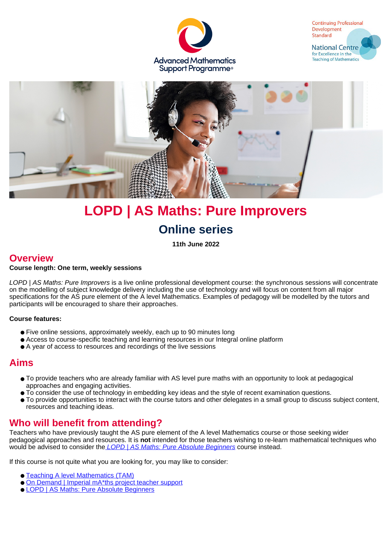





# **LOPD | AS Maths: Pure Improvers Online series**

**11th June 2022**

### **Overview**

#### **Course length: One term, weekly sessions**

LOPD | AS Maths: Pure Improvers is a live online professional development course: the synchronous sessions will concentrate on the modelling of subject knowledge delivery including the use of technology and will focus on content from all major specifications for the AS pure element of the A level Mathematics. Examples of pedagogy will be modelled by the tutors and participants will be encouraged to share their approaches.

#### **Course features:**

- Five online sessions, approximately weekly, each up to 90 minutes long
- Access to course-specific teaching and learning resources in our Integral online platform
- A year of access to resources and recordings of the live sessions

### **Aims**

- To provide teachers who are already familiar with AS level pure maths with an opportunity to look at pedagogical approaches and engaging activities.
- To consider the use of technology in embedding key ideas and the style of recent examination questions.
- To provide opportunities to interact with the course tutors and other delegates in a small group to discuss subject content, resources and teaching ideas.

### **Who will benefit from attending?**

Teachers who have previously taught the AS pure element of the A level Mathematics course or those seeking wider pedagogical approaches and resources. It is **not** intended for those teachers wishing to re-learn mathematical techniques who would be advised to consider the *LOPD | AS Maths: Pure Absolute Beginners* course instead.

If this course is not quite what you are looking for, you may like to consider:

- [Teaching A level Mathematics \(TAM\)](https://amsp.org.uk/events/details/5200)
- [On Demand | Imperial mA\\*ths project teacher support](https://amsp.org.uk/events/details/7663)
- [LOPD | AS Maths: Pure Absolute Beginners](https://amsp.org.uk/events/details/5209)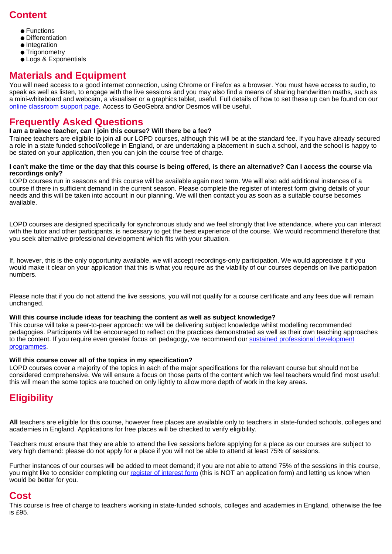### **Content**

- Functions
- Differentiation
- Integration
- Trigonometry
- Logs & Exponentials

### **Materials and Equipment**

You will need access to a good internet connection, using Chrome or Firefox as a browser. You must have access to audio, to speak as well as listen, to engage with the live sessions and you may also find a means of sharing handwritten maths, such as a mini-whiteboard and webcam, a visualiser or a graphics tablet, useful. Full details of how to set these up can be found on our [online classroom support page](https://amsp.org.uk/about/online-classroom-support). Access to GeoGebra and/or Desmos will be useful.

### **Frequently Asked Questions**

#### **I am a trainee teacher, can I join this course? Will there be a fee?**

Trainee teachers are eligibile to join all our LOPD courses, although this will be at the standard fee. If you have already secured a role in a state funded school/college in England, or are undertaking a placement in such a school, and the school is happy to be stated on your application, then you can join the course free of charge.

#### **I can't make the time or the day that this course is being offered, is there an alternative? Can I access the course via recordings only?**

LOPD courses run in seasons and this course will be available again next term. We will also add additional instances of a course if there in sufficient demand in the current season. Please complete the register of interest form giving details of your needs and this will be taken into account in our planning. We will then contact you as soon as a suitable course becomes available.

LOPD courses are designed specifically for synchronous study and we feel strongly that live attendance, where you can interact with the tutor and other participants, is necessary to get the best experience of the course. We would recommend therefore that you seek alternative professional development which fits with your situation.

If, however, this is the only opportunity available, we will accept recordings-only participation. We would appreciate it if you would make it clear on your application that this is what you require as the viability of our courses depends on live participation numbers.

Please note that if you do not attend the live sessions, you will not qualify for a course certificate and any fees due will remain unchanged.

#### **Will this course include ideas for teaching the content as well as subject knowledge?**

This course will take a peer-to-peer approach: we will be delivering subject knowledge whilst modelling recommended pedagogies. Participants will be encouraged to reflect on the practices demonstrated as well as their own teaching approaches to the content. If you require even greater focus on pedagogy, we recommend our [sustained professional development]("https://amsp.org.uk/events/sustained-pd-courses") [programmes]("https://amsp.org.uk/events/sustained-pd-courses").

#### **Will this course cover all of the topics in my specification?**

LOPD courses cover a majority of the topics in each of the major specifications for the relevant course but should not be considered comprehensive. We will ensure a focus on those parts of the content which we feel teachers would find most useful: this will mean the some topics are touched on only lightly to allow more depth of work in the key areas.

# **Eligibility**

**All** teachers are eligible for this course, however free places are available only to teachers in state-funded schools, colleges and academies in England. Applications for free places will be checked to verify eligibility.

Teachers must ensure that they are able to attend the live sessions before applying for a place as our courses are subject to very high demand: please do not apply for a place if you will not be able to attend at least 75% of sessions.

Further instances of our courses will be added to meet demand; if you are not able to attend 75% of the sessions in this course, you might like to consider completing our [register of interest form](https://forms.office.com/Pages/ResponsePage.aspx?id=3xC7JAAzJEyxYstVbALx9-lc9N7xuBBMuLFcJGTuZdRURFhIMjk3R1ZXVThaV09MOVhWWkRaOVlUSyQlQCN0PWcu) (this is NOT an application form) and letting us know when would be better for you.

### **Cost**

This course is free of charge to teachers working in state-funded schools, colleges and academies in England, otherwise the fee is £95.